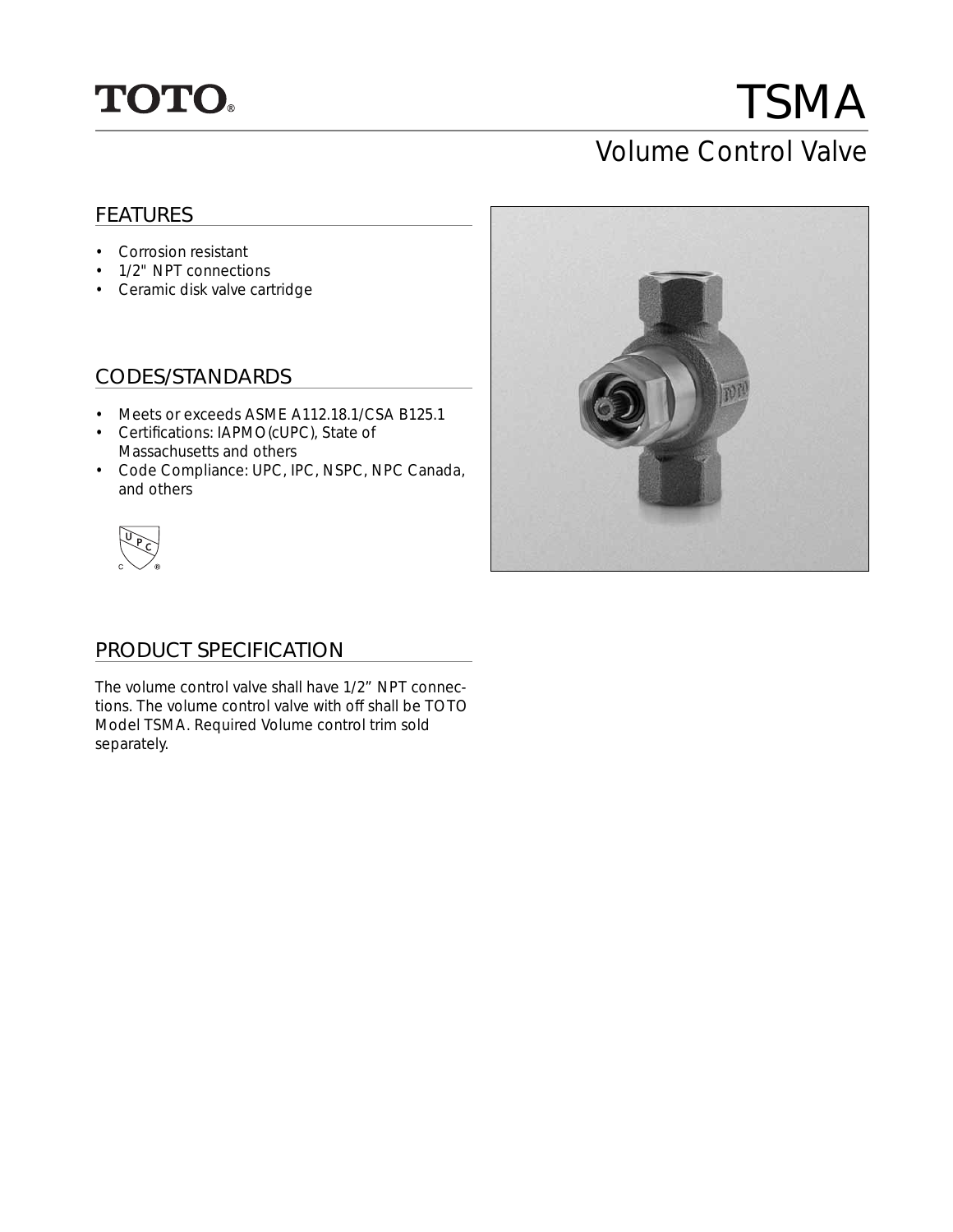

# TSMA Volume Control Valve

# FEATURES

- Corrosion resistant
- 1/2" NPT connections
- Ceramic disk valve cartridge

## CODES/STANDARDS

- Meets or exceeds ASME A112.18.1/CSA B125.1
- Certifications: IAPMO(cUPC), State of Massachusetts and others
- Code Compliance: UPC, IPC, NSPC, NPC Canada, and others



### PRODUCT SPECIFICATION

The volume control valve shall have 1/2" NPT connections. The volume control valve with off shall be TOTO Model TSMA. Required Volume control trim sold separately.